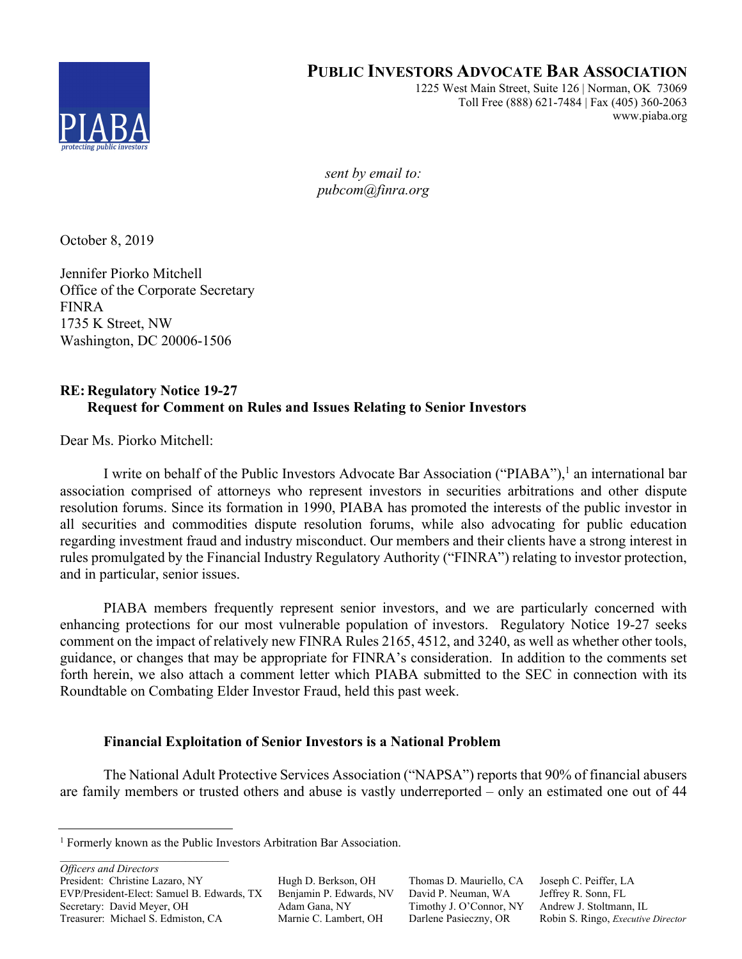

# **PUBLIC INVESTORS ADVOCATE BAR ASSOCIATION**

1225 West Main Street, Suite 126 | Norman, OK 73069 Toll Free (888) 621-7484 | Fax (405) 360-2063 www.piaba.org

*sent by email to: pubcom@finra.org* 

October 8, 2019

Jennifer Piorko Mitchell Office of the Corporate Secretary FINRA 1735 K Street, NW Washington, DC 20006-1506

## **RE: Regulatory Notice 19-27 Request for Comment on Rules and Issues Relating to Senior Investors**

Dear Ms. Piorko Mitchell:

I write on behalf of the Public Investors Advocate Bar Association ("PIABA"),<sup>1</sup> an international bar association comprised of attorneys who represent investors in securities arbitrations and other dispute resolution forums. Since its formation in 1990, PIABA has promoted the interests of the public investor in all securities and commodities dispute resolution forums, while also advocating for public education regarding investment fraud and industry misconduct. Our members and their clients have a strong interest in rules promulgated by the Financial Industry Regulatory Authority ("FINRA") relating to investor protection, and in particular, senior issues.

PIABA members frequently represent senior investors, and we are particularly concerned with enhancing protections for our most vulnerable population of investors. Regulatory Notice 19-27 seeks comment on the impact of relatively new FINRA Rules 2165, 4512, and 3240, as well as whether other tools, guidance, or changes that may be appropriate for FINRA's consideration. In addition to the comments set forth herein, we also attach a comment letter which PIABA submitted to the SEC in connection with its Roundtable on Combating Elder Investor Fraud, held this past week.

## **Financial Exploitation of Senior Investors is a National Problem**

The National Adult Protective Services Association ("NAPSA") reports that 90% of financial abusers are family members or trusted others and abuse is vastly underreported – only an estimated one out of 44

*Officers and Directors*

President: Christine Lazaro, NY Hugh D. Berkson, OH Thomas D. Mauriello, CA Joseph C. Peiffer, LA EVP/President-Elect: Samuel B. Edwards, TX Benjamin P. Edwards, NV David P. Neuman, WA Jeffrey R. Sonn, FL Secretary: David Meyer, OH Adam Gana, NY Timothy J. O'Connor, NY Andrew J. Stoltmann, IL Treasurer: Michael S. Edmiston, CA Marnie C. Lambert, OH Darlene Pasieczny, OR Robin S. Ringo, *Executive Director*

 $\frac{1}{1}$ <sup>1</sup> Formerly known as the Public Investors Arbitration Bar Association.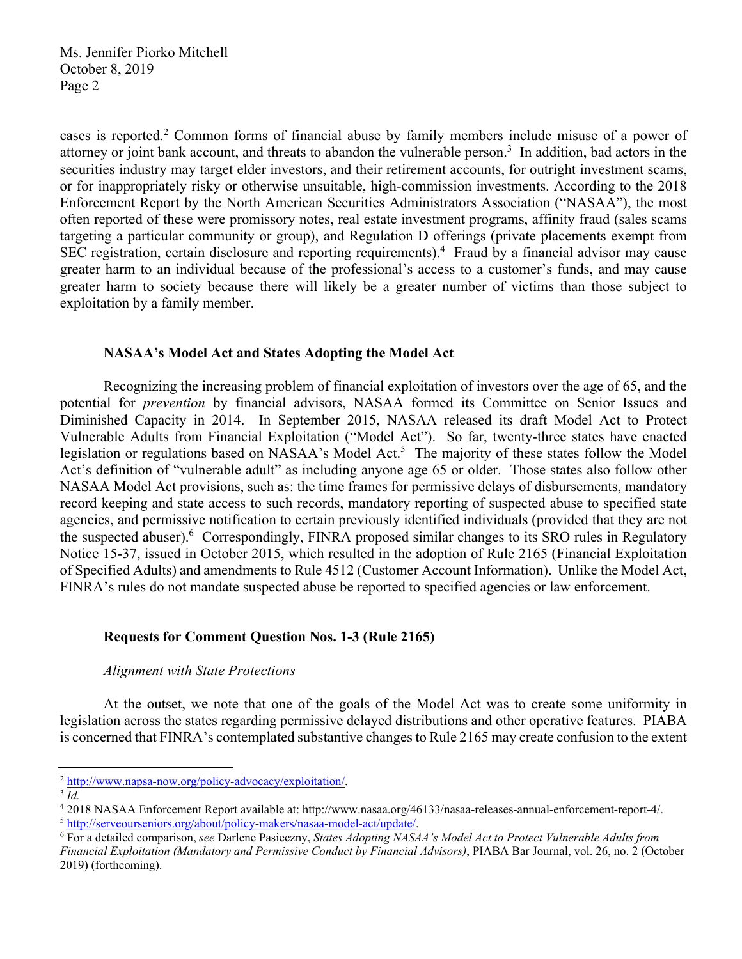cases is reported.<sup>2</sup> Common forms of financial abuse by family members include misuse of a power of attorney or joint bank account, and threats to abandon the vulnerable person.<sup>3</sup> In addition, bad actors in the securities industry may target elder investors, and their retirement accounts, for outright investment scams, or for inappropriately risky or otherwise unsuitable, high-commission investments. According to the 2018 Enforcement Report by the North American Securities Administrators Association ("NASAA"), the most often reported of these were promissory notes, real estate investment programs, affinity fraud (sales scams targeting a particular community or group), and Regulation D offerings (private placements exempt from SEC registration, certain disclosure and reporting requirements).<sup>4</sup> Fraud by a financial advisor may cause greater harm to an individual because of the professional's access to a customer's funds, and may cause greater harm to society because there will likely be a greater number of victims than those subject to exploitation by a family member.

### **NASAA's Model Act and States Adopting the Model Act**

Recognizing the increasing problem of financial exploitation of investors over the age of 65, and the potential for *prevention* by financial advisors, NASAA formed its Committee on Senior Issues and Diminished Capacity in 2014. In September 2015, NASAA released its draft Model Act to Protect Vulnerable Adults from Financial Exploitation ("Model Act"). So far, twenty-three states have enacted legislation or regulations based on NASAA's Model Act.<sup>5</sup> The majority of these states follow the Model Act's definition of "vulnerable adult" as including anyone age 65 or older. Those states also follow other NASAA Model Act provisions, such as: the time frames for permissive delays of disbursements, mandatory record keeping and state access to such records, mandatory reporting of suspected abuse to specified state agencies, and permissive notification to certain previously identified individuals (provided that they are not the suspected abuser).<sup>6</sup> Correspondingly, FINRA proposed similar changes to its SRO rules in Regulatory Notice 15-37, issued in October 2015, which resulted in the adoption of Rule 2165 (Financial Exploitation of Specified Adults) and amendments to Rule 4512 (Customer Account Information). Unlike the Model Act, FINRA's rules do not mandate suspected abuse be reported to specified agencies or law enforcement.

### **Requests for Comment Question Nos. 1-3 (Rule 2165)**

### *Alignment with State Protections*

At the outset, we note that one of the goals of the Model Act was to create some uniformity in legislation across the states regarding permissive delayed distributions and other operative features. PIABA is concerned that FINRA's contemplated substantive changes to Rule 2165 may create confusion to the extent

<sup>2</sup> http://www.napsa-now.org/policy-advocacy/exploitation/. 3 *Id.* 

<sup>&</sup>lt;sup>4</sup> 2018 NASAA Enforcement Report available at: http://www.nasaa.org/46133/nasaa-releases-annual-enforcement-report-4/.<br><sup>5</sup> http://serveourseniors.org/about/policy-makers/nasaa-model-act/update/.<br><sup>6</sup> For a detailed compari

For a detailed comparison, *see* Darlene Pasieczny, *States Adopting NASAA's Model Act to Protect Vulnerable Adults from* 

*Financial Exploitation (Mandatory and Permissive Conduct by Financial Advisors)*, PIABA Bar Journal, vol. 26, no. 2 (October 2019) (forthcoming).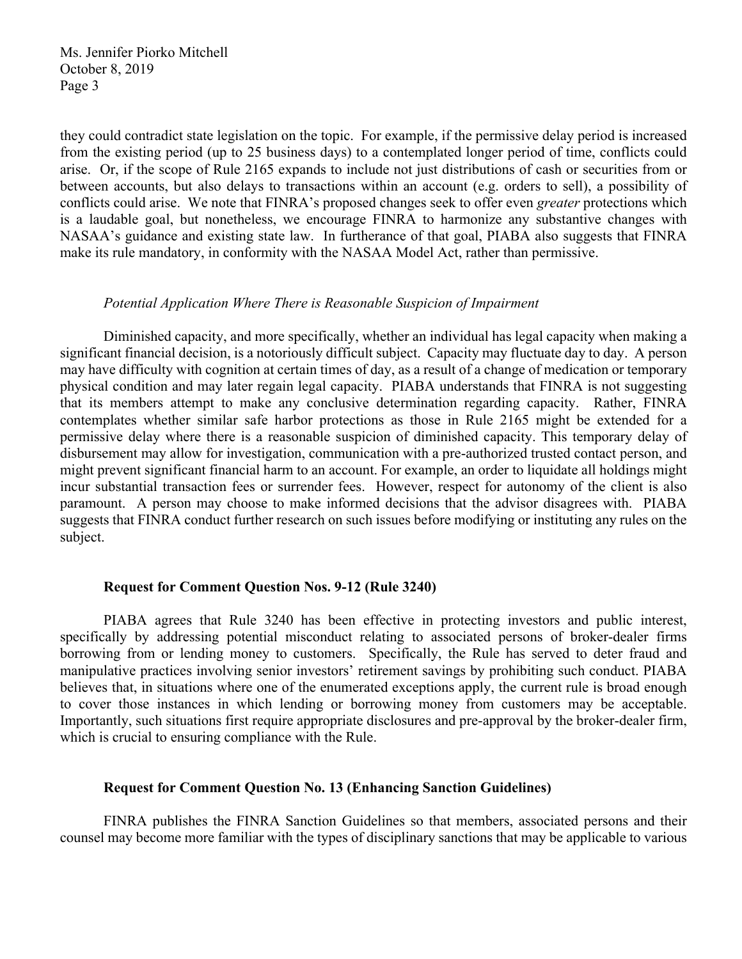they could contradict state legislation on the topic. For example, if the permissive delay period is increased from the existing period (up to 25 business days) to a contemplated longer period of time, conflicts could arise. Or, if the scope of Rule 2165 expands to include not just distributions of cash or securities from or between accounts, but also delays to transactions within an account (e.g. orders to sell), a possibility of conflicts could arise. We note that FINRA's proposed changes seek to offer even *greater* protections which is a laudable goal, but nonetheless, we encourage FINRA to harmonize any substantive changes with NASAA's guidance and existing state law. In furtherance of that goal, PIABA also suggests that FINRA make its rule mandatory, in conformity with the NASAA Model Act, rather than permissive.

#### *Potential Application Where There is Reasonable Suspicion of Impairment*

Diminished capacity, and more specifically, whether an individual has legal capacity when making a significant financial decision, is a notoriously difficult subject. Capacity may fluctuate day to day. A person may have difficulty with cognition at certain times of day, as a result of a change of medication or temporary physical condition and may later regain legal capacity. PIABA understands that FINRA is not suggesting that its members attempt to make any conclusive determination regarding capacity. Rather, FINRA contemplates whether similar safe harbor protections as those in Rule 2165 might be extended for a permissive delay where there is a reasonable suspicion of diminished capacity. This temporary delay of disbursement may allow for investigation, communication with a pre-authorized trusted contact person, and might prevent significant financial harm to an account. For example, an order to liquidate all holdings might incur substantial transaction fees or surrender fees. However, respect for autonomy of the client is also paramount. A person may choose to make informed decisions that the advisor disagrees with. PIABA suggests that FINRA conduct further research on such issues before modifying or instituting any rules on the subject.

#### **Request for Comment Question Nos. 9-12 (Rule 3240)**

PIABA agrees that Rule 3240 has been effective in protecting investors and public interest, specifically by addressing potential misconduct relating to associated persons of broker-dealer firms borrowing from or lending money to customers. Specifically, the Rule has served to deter fraud and manipulative practices involving senior investors' retirement savings by prohibiting such conduct. PIABA believes that, in situations where one of the enumerated exceptions apply, the current rule is broad enough to cover those instances in which lending or borrowing money from customers may be acceptable. Importantly, such situations first require appropriate disclosures and pre-approval by the broker-dealer firm, which is crucial to ensuring compliance with the Rule.

#### **Request for Comment Question No. 13 (Enhancing Sanction Guidelines)**

FINRA publishes the FINRA Sanction Guidelines so that members, associated persons and their counsel may become more familiar with the types of disciplinary sanctions that may be applicable to various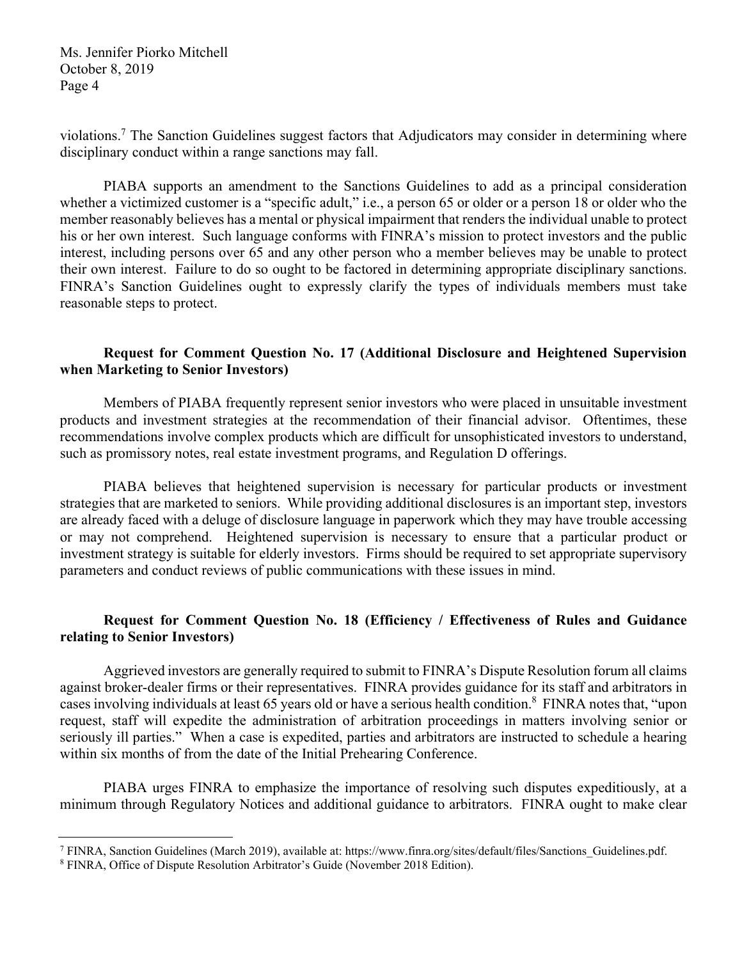violations.<sup>7</sup> The Sanction Guidelines suggest factors that Adjudicators may consider in determining where disciplinary conduct within a range sanctions may fall.

PIABA supports an amendment to the Sanctions Guidelines to add as a principal consideration whether a victimized customer is a "specific adult," i.e., a person 65 or older or a person 18 or older who the member reasonably believes has a mental or physical impairment that renders the individual unable to protect his or her own interest. Such language conforms with FINRA's mission to protect investors and the public interest, including persons over 65 and any other person who a member believes may be unable to protect their own interest. Failure to do so ought to be factored in determining appropriate disciplinary sanctions. FINRA's Sanction Guidelines ought to expressly clarify the types of individuals members must take reasonable steps to protect.

## **Request for Comment Question No. 17 (Additional Disclosure and Heightened Supervision when Marketing to Senior Investors)**

Members of PIABA frequently represent senior investors who were placed in unsuitable investment products and investment strategies at the recommendation of their financial advisor. Oftentimes, these recommendations involve complex products which are difficult for unsophisticated investors to understand, such as promissory notes, real estate investment programs, and Regulation D offerings.

PIABA believes that heightened supervision is necessary for particular products or investment strategies that are marketed to seniors. While providing additional disclosures is an important step, investors are already faced with a deluge of disclosure language in paperwork which they may have trouble accessing or may not comprehend. Heightened supervision is necessary to ensure that a particular product or investment strategy is suitable for elderly investors. Firms should be required to set appropriate supervisory parameters and conduct reviews of public communications with these issues in mind.

## **Request for Comment Question No. 18 (Efficiency / Effectiveness of Rules and Guidance relating to Senior Investors)**

Aggrieved investors are generally required to submit to FINRA's Dispute Resolution forum all claims against broker-dealer firms or their representatives. FINRA provides guidance for its staff and arbitrators in cases involving individuals at least 65 years old or have a serious health condition.<sup>8</sup> FINRA notes that, "upon request, staff will expedite the administration of arbitration proceedings in matters involving senior or seriously ill parties." When a case is expedited, parties and arbitrators are instructed to schedule a hearing within six months of from the date of the Initial Prehearing Conference.

PIABA urges FINRA to emphasize the importance of resolving such disputes expeditiously, at a minimum through Regulatory Notices and additional guidance to arbitrators. FINRA ought to make clear

 $\frac{1}{7}$ FINRA, Sanction Guidelines (March 2019), available at: https://www.finra.org/sites/default/files/Sanctions\_Guidelines.pdf.

<sup>8</sup> FINRA, Office of Dispute Resolution Arbitrator's Guide (November 2018 Edition).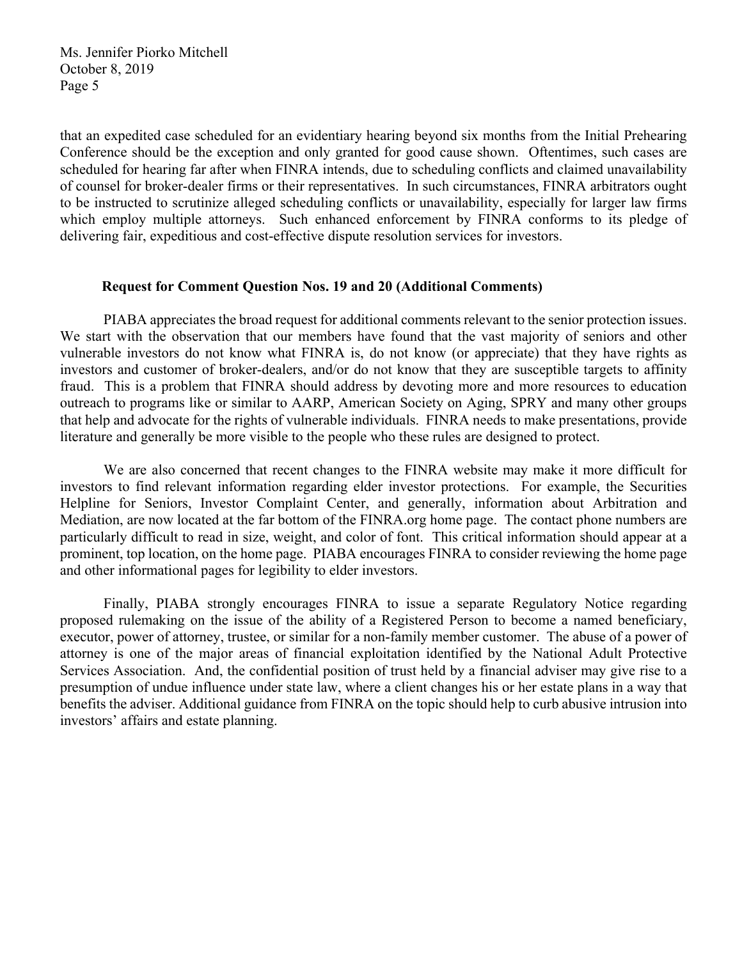that an expedited case scheduled for an evidentiary hearing beyond six months from the Initial Prehearing Conference should be the exception and only granted for good cause shown. Oftentimes, such cases are scheduled for hearing far after when FINRA intends, due to scheduling conflicts and claimed unavailability of counsel for broker-dealer firms or their representatives. In such circumstances, FINRA arbitrators ought to be instructed to scrutinize alleged scheduling conflicts or unavailability, especially for larger law firms which employ multiple attorneys. Such enhanced enforcement by FINRA conforms to its pledge of delivering fair, expeditious and cost-effective dispute resolution services for investors.

#### **Request for Comment Question Nos. 19 and 20 (Additional Comments)**

PIABA appreciates the broad request for additional comments relevant to the senior protection issues. We start with the observation that our members have found that the vast majority of seniors and other vulnerable investors do not know what FINRA is, do not know (or appreciate) that they have rights as investors and customer of broker-dealers, and/or do not know that they are susceptible targets to affinity fraud. This is a problem that FINRA should address by devoting more and more resources to education outreach to programs like or similar to AARP, American Society on Aging, SPRY and many other groups that help and advocate for the rights of vulnerable individuals. FINRA needs to make presentations, provide literature and generally be more visible to the people who these rules are designed to protect.

We are also concerned that recent changes to the FINRA website may make it more difficult for investors to find relevant information regarding elder investor protections. For example, the Securities Helpline for Seniors, Investor Complaint Center, and generally, information about Arbitration and Mediation, are now located at the far bottom of the FINRA.org home page. The contact phone numbers are particularly difficult to read in size, weight, and color of font. This critical information should appear at a prominent, top location, on the home page. PIABA encourages FINRA to consider reviewing the home page and other informational pages for legibility to elder investors.

Finally, PIABA strongly encourages FINRA to issue a separate Regulatory Notice regarding proposed rulemaking on the issue of the ability of a Registered Person to become a named beneficiary, executor, power of attorney, trustee, or similar for a non-family member customer. The abuse of a power of attorney is one of the major areas of financial exploitation identified by the National Adult Protective Services Association. And, the confidential position of trust held by a financial adviser may give rise to a presumption of undue influence under state law, where a client changes his or her estate plans in a way that benefits the adviser. Additional guidance from FINRA on the topic should help to curb abusive intrusion into investors' affairs and estate planning.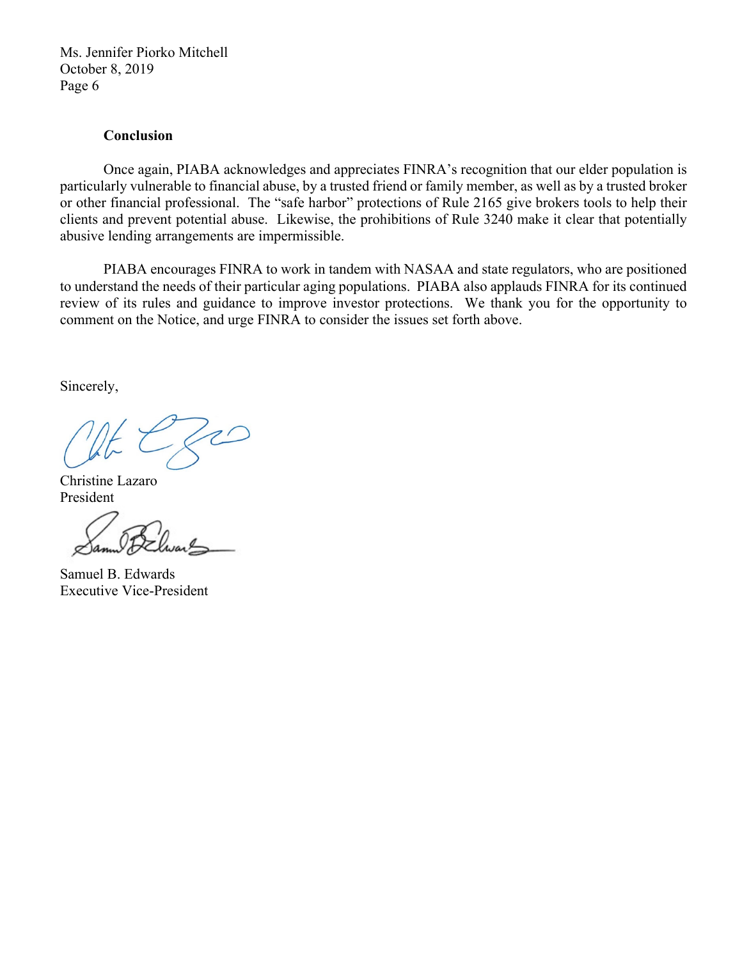#### **Conclusion**

Once again, PIABA acknowledges and appreciates FINRA's recognition that our elder population is particularly vulnerable to financial abuse, by a trusted friend or family member, as well as by a trusted broker or other financial professional. The "safe harbor" protections of Rule 2165 give brokers tools to help their clients and prevent potential abuse. Likewise, the prohibitions of Rule 3240 make it clear that potentially abusive lending arrangements are impermissible.

PIABA encourages FINRA to work in tandem with NASAA and state regulators, who are positioned to understand the needs of their particular aging populations. PIABA also applauds FINRA for its continued review of its rules and guidance to improve investor protections. We thank you for the opportunity to comment on the Notice, and urge FINRA to consider the issues set forth above.

Sincerely,

Christine Lazaro President

Samuel B. Edwards Executive Vice-President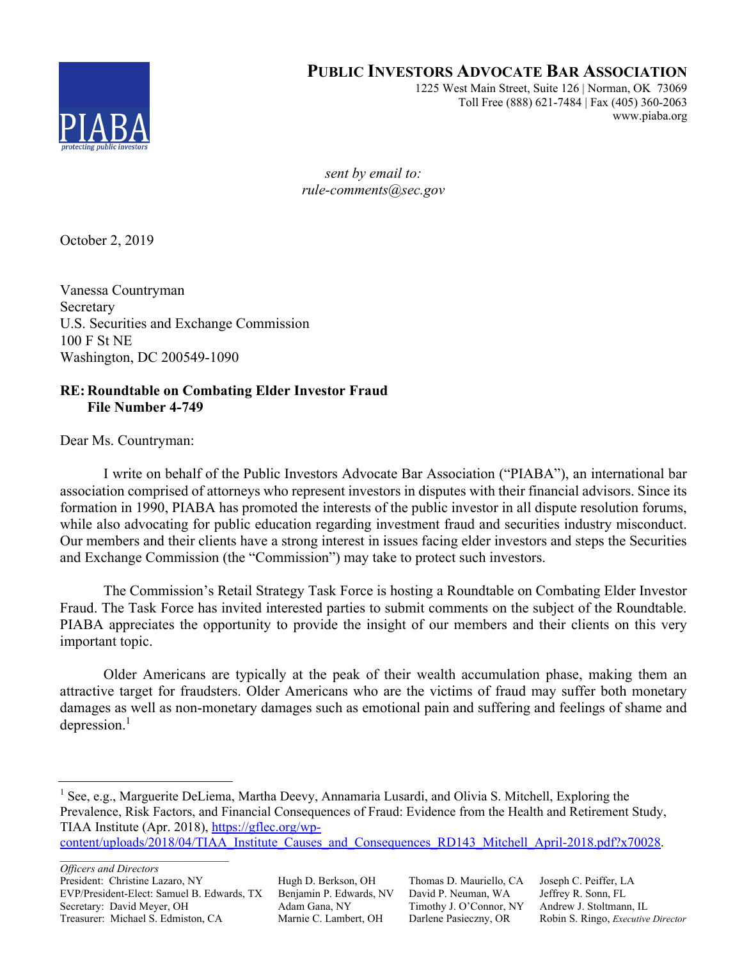

# **PUBLIC INVESTORS ADVOCATE BAR ASSOCIATION**

1225 West Main Street, Suite 126 | Norman, OK 73069 Toll Free (888) 621-7484 | Fax (405) 360-2063 www.piaba.org

*sent by email to: rule-comments@sec.gov* 

October 2, 2019

Vanessa Countryman Secretary U.S. Securities and Exchange Commission 100 F St NE Washington, DC 200549-1090

# **RE: Roundtable on Combating Elder Investor Fraud File Number 4-749**

Dear Ms. Countryman:

I write on behalf of the Public Investors Advocate Bar Association ("PIABA"), an international bar association comprised of attorneys who represent investors in disputes with their financial advisors. Since its formation in 1990, PIABA has promoted the interests of the public investor in all dispute resolution forums, while also advocating for public education regarding investment fraud and securities industry misconduct. Our members and their clients have a strong interest in issues facing elder investors and steps the Securities and Exchange Commission (the "Commission") may take to protect such investors.

The Commission's Retail Strategy Task Force is hosting a Roundtable on Combating Elder Investor Fraud. The Task Force has invited interested parties to submit comments on the subject of the Roundtable. PIABA appreciates the opportunity to provide the insight of our members and their clients on this very important topic.

Older Americans are typically at the peak of their wealth accumulation phase, making them an attractive target for fraudsters. Older Americans who are the victims of fraud may suffer both monetary damages as well as non-monetary damages such as emotional pain and suffering and feelings of shame and depression.<sup>1</sup>

content/uploads/2018/04/TIAA\_Institute\_Causes\_and\_Consequences\_RD143\_Mitchell\_April-2018.pdf?x70028.

*Officers and Directors* President: Christine Lazaro, NY Hugh D. Berkson, OH Thomas D. Mauriello, CA Joseph C. Peiffer, LA EVP/President-Elect: Samuel B. Edwards, TX Benjamin P. Edwards, NV David P. Neuman, WA Jeffrey R. Sonn, FL Secretary: David Meyer, OH Adam Gana, NY Timothy J. O'Connor, NY Andrew J. Stoltmann, IL Treasurer: Michael S. Edmiston, CA Marnie C. Lambert, OH Darlene Pasieczny, OR Robin S. Ringo, *Executive Director*

 $\frac{1}{1}$ <sup>1</sup> See, e.g., Marguerite DeLiema, Martha Deevy, Annamaria Lusardi, and Olivia S. Mitchell, Exploring the Prevalence, Risk Factors, and Financial Consequences of Fraud: Evidence from the Health and Retirement Study, TIAA Institute (Apr. 2018), https://gflec.org/wp-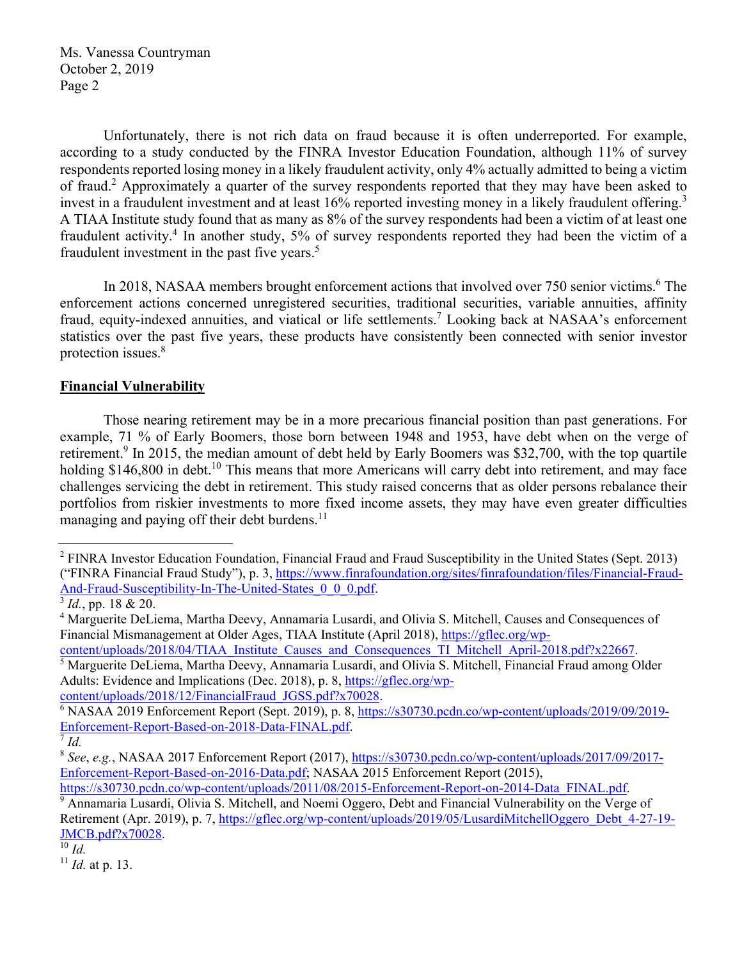Unfortunately, there is not rich data on fraud because it is often underreported. For example, according to a study conducted by the FINRA Investor Education Foundation, although 11% of survey respondents reported losing money in a likely fraudulent activity, only 4% actually admitted to being a victim of fraud.<sup>2</sup> Approximately a quarter of the survey respondents reported that they may have been asked to invest in a fraudulent investment and at least 16% reported investing money in a likely fraudulent offering.<sup>3</sup> A TIAA Institute study found that as many as 8% of the survey respondents had been a victim of at least one fraudulent activity.<sup>4</sup> In another study, 5% of survey respondents reported they had been the victim of a fraudulent investment in the past five years. $5$ 

In 2018, NASAA members brought enforcement actions that involved over 750 senior victims.<sup>6</sup> The enforcement actions concerned unregistered securities, traditional securities, variable annuities, affinity fraud, equity-indexed annuities, and viatical or life settlements.<sup>7</sup> Looking back at NASAA's enforcement statistics over the past five years, these products have consistently been connected with senior investor protection issues.<sup>8</sup>

## **Financial Vulnerability**

Those nearing retirement may be in a more precarious financial position than past generations. For example, 71 % of Early Boomers, those born between 1948 and 1953, have debt when on the verge of retirement.<sup>9</sup> In 2015, the median amount of debt held by Early Boomers was \$32,700, with the top quartile holding  $$146,800$  in debt.<sup>10</sup> This means that more Americans will carry debt into retirement, and may face challenges servicing the debt in retirement. This study raised concerns that as older persons rebalance their portfolios from riskier investments to more fixed income assets, they may have even greater difficulties managing and paying off their debt burdens.<sup>11</sup>

content/uploads/2018/04/TIAA\_Institute\_Causes\_and\_Consequences\_TI\_Mitchell\_April-2018.pdf?x22667.

<sup>5</sup> Marguerite DeLiema, Martha Deevy, Annamaria Lusardi, and Olivia S. Mitchell, Financial Fraud among Older Adults: Evidence and Implications (Dec. 2018), p. 8, https://gflec.org/wp-

content/uploads/2018/12/FinancialFraud\_JGSS.pdf?x70028.

<sup>11</sup> *Id.* at p. 13.

<sup>&</sup>lt;sup>2</sup> FINRA Investor Education Foundation, Financial Fraud and Fraud Susceptibility in the United States (Sept. 2013) ("FINRA Financial Fraud Study"), p. 3, https://www.finrafoundation.org/sites/finrafoundation/files/Financial-Fraud-And-Fraud-Susceptibility-In-The-United-States\_0\_0\_0.pdf. 3 *Id.*, pp. 18 & 20.

<sup>&</sup>lt;sup>4</sup> Marguerite DeLiema, Martha Deevy, Annamaria Lusardi, and Olivia S. Mitchell, Causes and Consequences of Financial Mismanagement at Older Ages, TIAA Institute (April 2018), https://gflec.org/wp-

 $6$  NASAA 2019 Enforcement Report (Sept. 2019), p. 8, https://s30730.pcdn.co/wp-content/uploads/2019/09/2019-Enforcement-Report-Based-on-2018-Data-FINAL.pdf. 7 *Id.*

<sup>8</sup> *See*, *e.g.*, NASAA 2017 Enforcement Report (2017), https://s30730.pcdn.co/wp-content/uploads/2017/09/2017- Enforcement-Report-Based-on-2016-Data.pdf; NASAA 2015 Enforcement Report (2015), https://s30730.pcdn.co/wp-content/uploads/2011/08/2015-Enforcement-Report-on-2014-Data\_FINAL.pdf.

<sup>&</sup>lt;sup>9</sup> Annamaria Lusardi, Olivia S. Mitchell, and Noemi Oggero, Debt and Financial Vulnerability on the Verge of Retirement (Apr. 2019), p. 7, https://gflec.org/wp-content/uploads/2019/05/LusardiMitchellOggero\_Debt\_4-27-19- JMCB.pdf?x70028. 10 *Id.*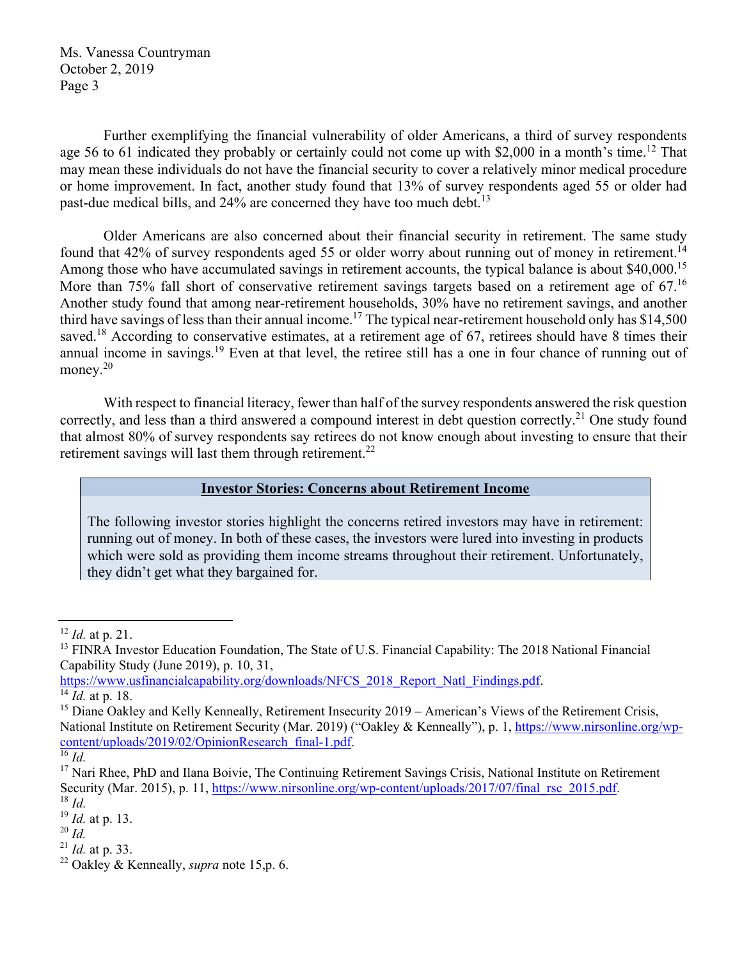Further exemplifying the financial vulnerability of older Americans, a third of survey respondents age 56 to 61 indicated they probably or certainly could not come up with \$2,000 in a month's time.<sup>12</sup> That may mean these individuals do not have the financial security to cover a relatively minor medical procedure or home improvement. In fact, another study found that 13% of survey respondents aged 55 or older had past-due medical bills, and  $24\%$  are concerned they have too much debt.<sup>13</sup>

Older Americans are also concerned about their financial security in retirement. The same study found that 42% of survey respondents aged 55 or older worry about running out of money in retirement.<sup>14</sup> Among those who have accumulated savings in retirement accounts, the typical balance is about \$40,000.<sup>15</sup> More than 75% fall short of conservative retirement savings targets based on a retirement age of 67.<sup>16</sup> Another study found that among near-retirement households, 30% have no retirement savings, and another third have savings of less than their annual income.<sup>17</sup> The typical near-retirement household only has \$14,500 saved.<sup>18</sup> According to conservative estimates, at a retirement age of 67, retirees should have 8 times their annual income in savings.<sup>19</sup> Even at that level, the retiree still has a one in four chance of running out of money.<sup>20</sup>

With respect to financial literacy, fewer than half of the survey respondents answered the risk question correctly, and less than a third answered a compound interest in debt question correctly.<sup>21</sup> One study found that almost 80% of survey respondents say retirees do not know enough about investing to ensure that their retirement savings will last them through retirement.<sup>22</sup>

## **Investor Stories: Concerns about Retirement Income**

The following investor stories highlight the concerns retired investors may have in retirement: running out of money. In both of these cases, the investors were lured into investing in products which were sold as providing them income streams throughout their retirement. Unfortunately, they didn't get what they bargained for.

 $^{21}$  *Id.* at p. 33.

 <sup>12</sup> *Id.* at p. 21.

<sup>&</sup>lt;sup>13</sup> FINRA Investor Education Foundation, The State of U.S. Financial Capability: The 2018 National Financial Capability Study (June 2019), p. 10, 31,

https://www.usfinancialcapability.org/downloads/NFCS\_2018\_Report\_Natl\_Findings.pdf. 14 *Id.* at p. 18.

<sup>&</sup>lt;sup>15</sup> Diane Oakley and Kelly Kenneally, Retirement Insecurity 2019 – American's Views of the Retirement Crisis, National Institute on Retirement Security (Mar. 2019) ("Oakley & Kenneally"), p. 1, https://www.nirsonline.org/wpcontent/uploads/2019/02/OpinionResearch\_final-1.pdf. 16 *Id.*

<sup>&</sup>lt;sup>17</sup> Nari Rhee, PhD and Ilana Boivie, The Continuing Retirement Savings Crisis, National Institute on Retirement Security (Mar. 2015), p. 11, https://www.nirsonline.org/wp-content/uploads/2017/07/final\_rsc\_2015.pdf. <sup>18</sup> *Id*.

<sup>19</sup> *Id.* at p. 13.

 $^{20}$  *Id.* 

<sup>22</sup> Oakley & Kenneally, *supra* note 15,p. 6.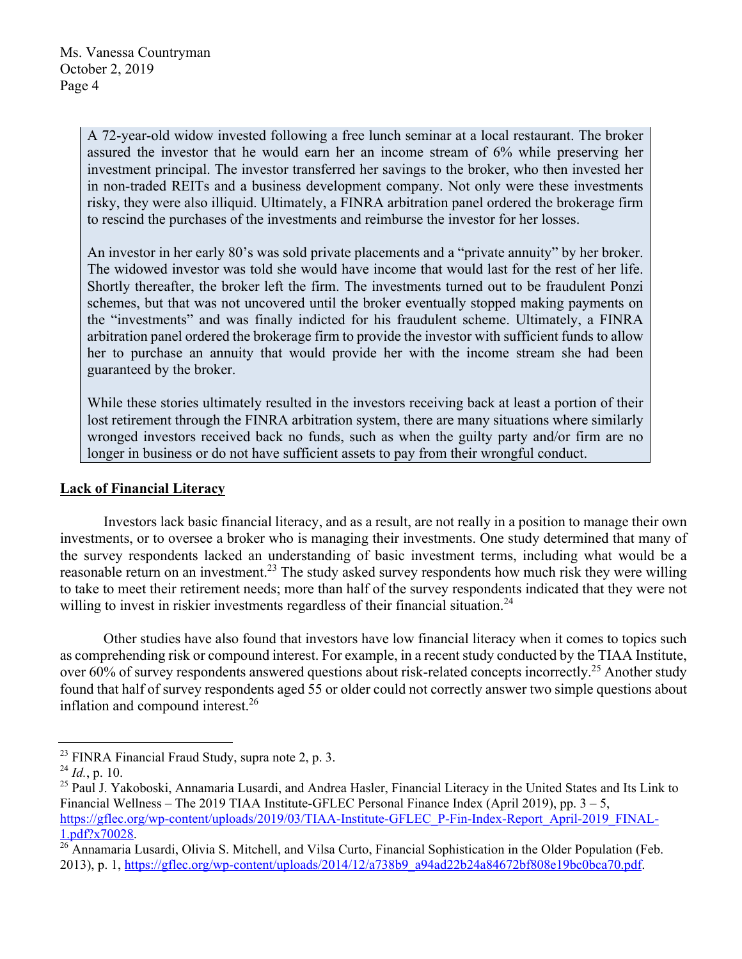A 72-year-old widow invested following a free lunch seminar at a local restaurant. The broker assured the investor that he would earn her an income stream of 6% while preserving her investment principal. The investor transferred her savings to the broker, who then invested her in non-traded REITs and a business development company. Not only were these investments risky, they were also illiquid. Ultimately, a FINRA arbitration panel ordered the brokerage firm to rescind the purchases of the investments and reimburse the investor for her losses.

An investor in her early 80's was sold private placements and a "private annuity" by her broker. The widowed investor was told she would have income that would last for the rest of her life. Shortly thereafter, the broker left the firm. The investments turned out to be fraudulent Ponzi schemes, but that was not uncovered until the broker eventually stopped making payments on the "investments" and was finally indicted for his fraudulent scheme. Ultimately, a FINRA arbitration panel ordered the brokerage firm to provide the investor with sufficient funds to allow her to purchase an annuity that would provide her with the income stream she had been guaranteed by the broker.

While these stories ultimately resulted in the investors receiving back at least a portion of their lost retirement through the FINRA arbitration system, there are many situations where similarly wronged investors received back no funds, such as when the guilty party and/or firm are no longer in business or do not have sufficient assets to pay from their wrongful conduct.

## **Lack of Financial Literacy**

Investors lack basic financial literacy, and as a result, are not really in a position to manage their own investments, or to oversee a broker who is managing their investments. One study determined that many of the survey respondents lacked an understanding of basic investment terms, including what would be a reasonable return on an investment.<sup>23</sup> The study asked survey respondents how much risk they were willing to take to meet their retirement needs; more than half of the survey respondents indicated that they were not willing to invest in riskier investments regardless of their financial situation.<sup>24</sup>

Other studies have also found that investors have low financial literacy when it comes to topics such as comprehending risk or compound interest. For example, in a recent study conducted by the TIAA Institute, over 60% of survey respondents answered questions about risk-related concepts incorrectly.<sup>25</sup> Another study found that half of survey respondents aged 55 or older could not correctly answer two simple questions about inflation and compound interest.<sup>26</sup>

<sup>&</sup>lt;sup>23</sup> FINRA Financial Fraud Study, supra note 2, p. 3.

<sup>24</sup> *Id.*, p. 10.

<sup>&</sup>lt;sup>25</sup> Paul J. Yakoboski, Annamaria Lusardi, and Andrea Hasler, Financial Literacy in the United States and Its Link to Financial Wellness – The 2019 TIAA Institute-GFLEC Personal Finance Index (April 2019), pp.  $3 - 5$ , https://gflec.org/wp-content/uploads/2019/03/TIAA-Institute-GFLEC\_P-Fin-Index-Report\_April-2019\_FINAL-

<sup>1.</sup>pdf?x70028.<br><sup>26</sup> Annamaria Lusardi, Olivia S. Mitchell, and Vilsa Curto, Financial Sophistication in the Older Population (Feb. 2013), p. 1, https://gflec.org/wp-content/uploads/2014/12/a738b9\_a94ad22b24a84672bf808e19bc0bca70.pdf.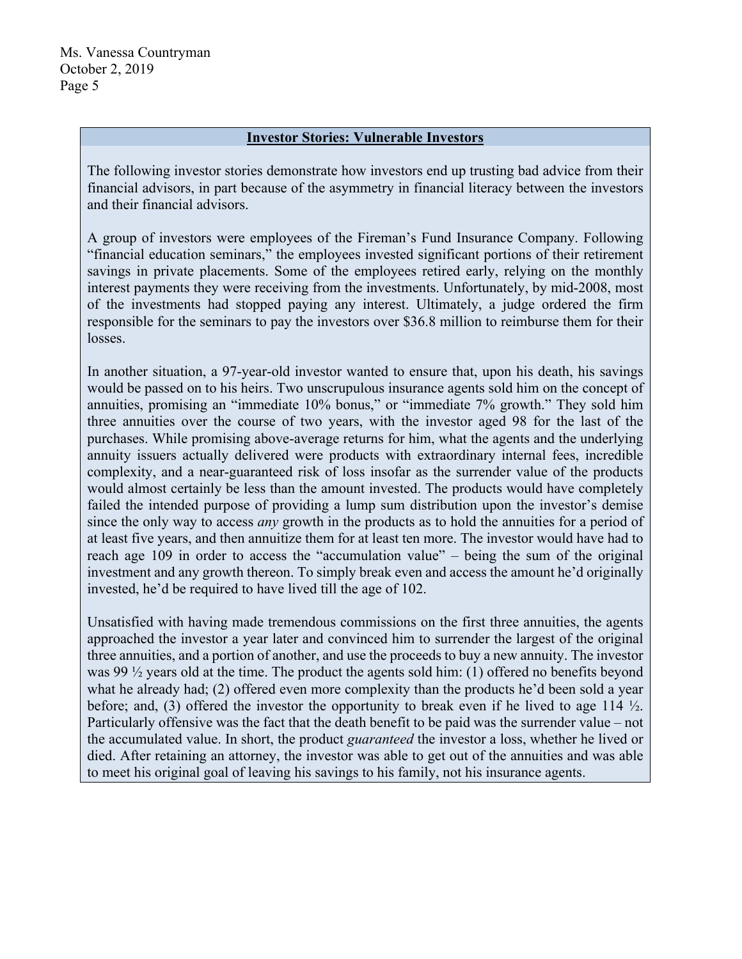#### **Investor Stories: Vulnerable Investors**

The following investor stories demonstrate how investors end up trusting bad advice from their financial advisors, in part because of the asymmetry in financial literacy between the investors and their financial advisors.

A group of investors were employees of the Fireman's Fund Insurance Company. Following "financial education seminars," the employees invested significant portions of their retirement savings in private placements. Some of the employees retired early, relying on the monthly interest payments they were receiving from the investments. Unfortunately, by mid-2008, most of the investments had stopped paying any interest. Ultimately, a judge ordered the firm responsible for the seminars to pay the investors over \$36.8 million to reimburse them for their losses.

In another situation, a 97-year-old investor wanted to ensure that, upon his death, his savings would be passed on to his heirs. Two unscrupulous insurance agents sold him on the concept of annuities, promising an "immediate 10% bonus," or "immediate 7% growth." They sold him three annuities over the course of two years, with the investor aged 98 for the last of the purchases. While promising above-average returns for him, what the agents and the underlying annuity issuers actually delivered were products with extraordinary internal fees, incredible complexity, and a near-guaranteed risk of loss insofar as the surrender value of the products would almost certainly be less than the amount invested. The products would have completely failed the intended purpose of providing a lump sum distribution upon the investor's demise since the only way to access *any* growth in the products as to hold the annuities for a period of at least five years, and then annuitize them for at least ten more. The investor would have had to reach age 109 in order to access the "accumulation value" – being the sum of the original investment and any growth thereon. To simply break even and access the amount he'd originally invested, he'd be required to have lived till the age of 102.

Unsatisfied with having made tremendous commissions on the first three annuities, the agents approached the investor a year later and convinced him to surrender the largest of the original three annuities, and a portion of another, and use the proceeds to buy a new annuity. The investor was 99 ½ years old at the time. The product the agents sold him: (1) offered no benefits beyond what he already had; (2) offered even more complexity than the products he'd been sold a year before; and, (3) offered the investor the opportunity to break even if he lived to age 114 ½. Particularly offensive was the fact that the death benefit to be paid was the surrender value – not the accumulated value. In short, the product *guaranteed* the investor a loss, whether he lived or died. After retaining an attorney, the investor was able to get out of the annuities and was able to meet his original goal of leaving his savings to his family, not his insurance agents.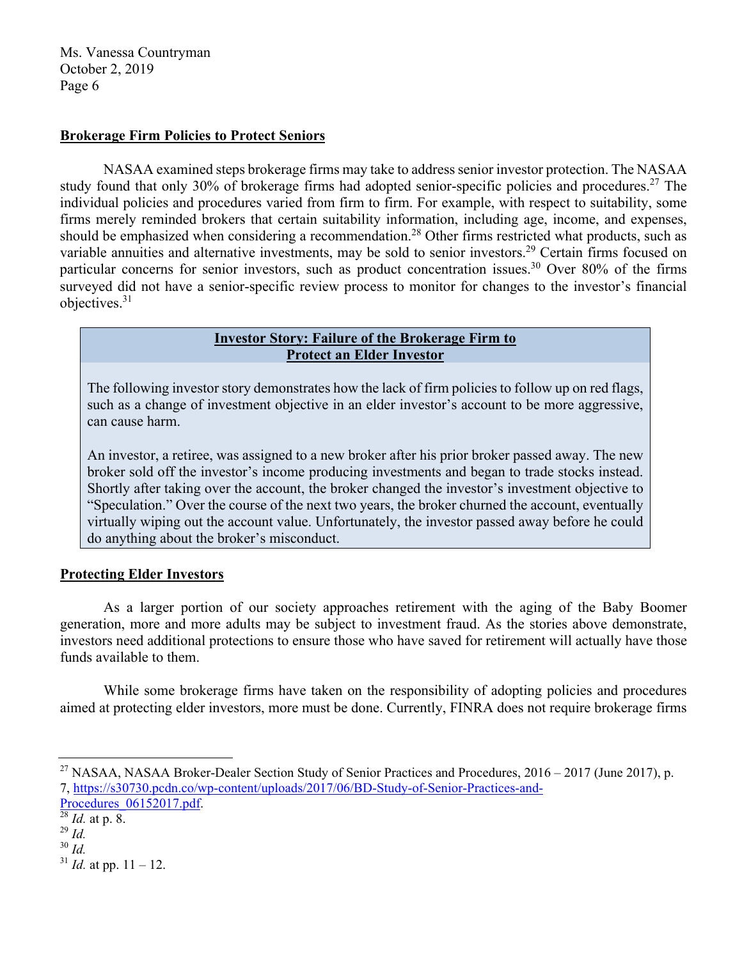## **Brokerage Firm Policies to Protect Seniors**

NASAA examined steps brokerage firms may take to address senior investor protection. The NASAA study found that only 30% of brokerage firms had adopted senior-specific policies and procedures.<sup>27</sup> The individual policies and procedures varied from firm to firm. For example, with respect to suitability, some firms merely reminded brokers that certain suitability information, including age, income, and expenses, should be emphasized when considering a recommendation.<sup>28</sup> Other firms restricted what products, such as variable annuities and alternative investments, may be sold to senior investors.<sup>29</sup> Certain firms focused on particular concerns for senior investors, such as product concentration issues.<sup>30</sup> Over 80% of the firms surveyed did not have a senior-specific review process to monitor for changes to the investor's financial objectives.31

### **Investor Story: Failure of the Brokerage Firm to Protect an Elder Investor**

The following investor story demonstrates how the lack of firm policies to follow up on red flags, such as a change of investment objective in an elder investor's account to be more aggressive, can cause harm.

An investor, a retiree, was assigned to a new broker after his prior broker passed away. The new broker sold off the investor's income producing investments and began to trade stocks instead. Shortly after taking over the account, the broker changed the investor's investment objective to "Speculation." Over the course of the next two years, the broker churned the account, eventually virtually wiping out the account value. Unfortunately, the investor passed away before he could do anything about the broker's misconduct.

## **Protecting Elder Investors**

As a larger portion of our society approaches retirement with the aging of the Baby Boomer generation, more and more adults may be subject to investment fraud. As the stories above demonstrate, investors need additional protections to ensure those who have saved for retirement will actually have those funds available to them.

While some brokerage firms have taken on the responsibility of adopting policies and procedures aimed at protecting elder investors, more must be done. Currently, FINRA does not require brokerage firms

<sup>30</sup> *Id.* 

 $31$  *Id.* at pp.  $11 - 12$ .

<sup>&</sup>lt;sup>27</sup> NASAA, NASAA Broker-Dealer Section Study of Senior Practices and Procedures,  $2016 - 2017$  (June 2017), p. 7, https://s30730.pcdn.co/wp-content/uploads/2017/06/BD-Study-of-Senior-Practices-and-

Procedures\_06152017.pdf. 28 *Id.* at p. 8.

 $^{29}$  *Id.*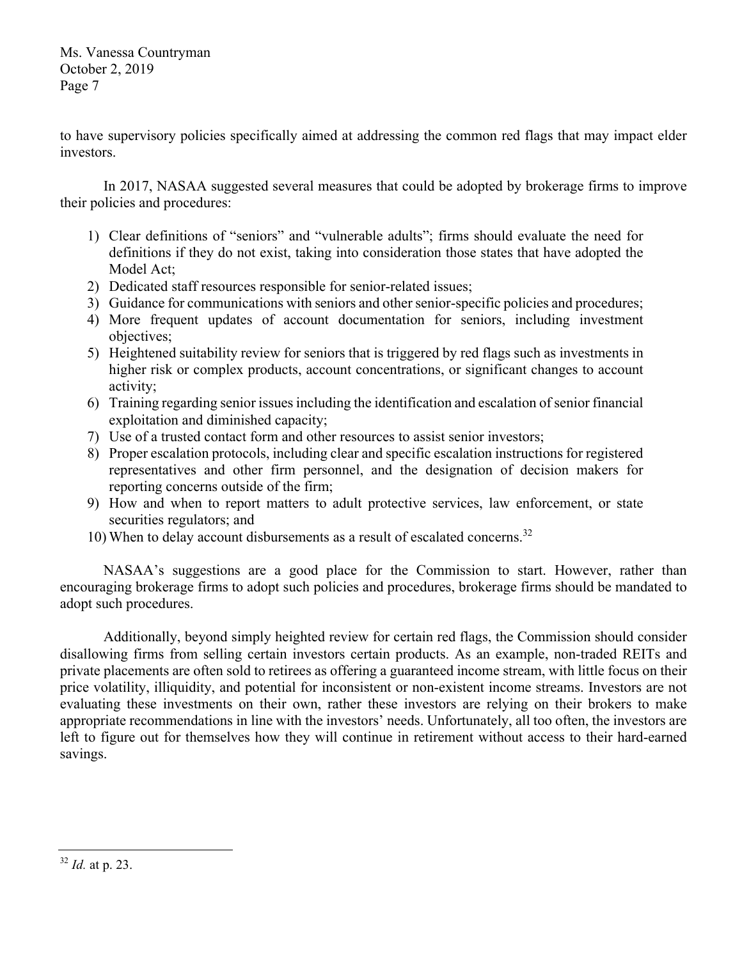to have supervisory policies specifically aimed at addressing the common red flags that may impact elder investors.

In 2017, NASAA suggested several measures that could be adopted by brokerage firms to improve their policies and procedures:

- 1) Clear definitions of "seniors" and "vulnerable adults"; firms should evaluate the need for definitions if they do not exist, taking into consideration those states that have adopted the Model Act;
- 2) Dedicated staff resources responsible for senior-related issues;
- 3) Guidance for communications with seniors and other senior-specific policies and procedures;
- 4) More frequent updates of account documentation for seniors, including investment objectives;
- 5) Heightened suitability review for seniors that is triggered by red flags such as investments in higher risk or complex products, account concentrations, or significant changes to account activity;
- 6) Training regarding senior issues including the identification and escalation of senior financial exploitation and diminished capacity;
- 7) Use of a trusted contact form and other resources to assist senior investors;
- 8) Proper escalation protocols, including clear and specific escalation instructions for registered representatives and other firm personnel, and the designation of decision makers for reporting concerns outside of the firm;
- 9) How and when to report matters to adult protective services, law enforcement, or state securities regulators; and
- 10) When to delay account disbursements as a result of escalated concerns.<sup>32</sup>

NASAA's suggestions are a good place for the Commission to start. However, rather than encouraging brokerage firms to adopt such policies and procedures, brokerage firms should be mandated to adopt such procedures.

Additionally, beyond simply heighted review for certain red flags, the Commission should consider disallowing firms from selling certain investors certain products. As an example, non-traded REITs and private placements are often sold to retirees as offering a guaranteed income stream, with little focus on their price volatility, illiquidity, and potential for inconsistent or non-existent income streams. Investors are not evaluating these investments on their own, rather these investors are relying on their brokers to make appropriate recommendations in line with the investors' needs. Unfortunately, all too often, the investors are left to figure out for themselves how they will continue in retirement without access to their hard-earned savings.

 <sup>32</sup> *Id.* at p. 23.